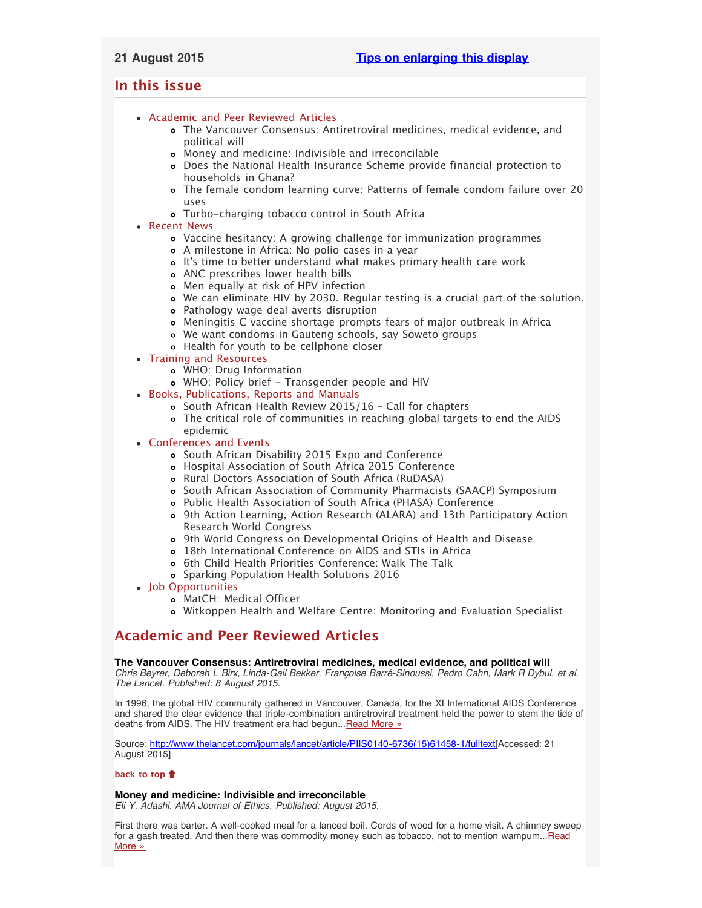# <span id="page-0-3"></span>**In this issue**

- [Academic and Peer Reviewed Articles](#page-0-0)
	- [The Vancouver Consensus: Antiretroviral medicines, medical evidence, and](#page-0-1) [political will](#page-0-1)
	- [Money and medicine: Indivisible and irreconcilable](#page-0-2)
	- [Does the National Health Insurance Scheme provide financial protection to](#page-1-0) [households in Ghana?](#page-1-0)
	- [The female condom learning curve: Patterns of female condom failure over 20](#page-1-1) [uses](#page-1-1)
	- [Turbo-charging tobacco control in South Africa](#page-1-2)
- [Recent News](#page-1-3)
	- [Vaccine hesitancy: A growing challenge for immunization programmes](#page-1-4)
	- [A milestone in Africa: No polio cases in a year](#page-1-5)
	- o It['s time to better understand what makes primary health care work](#page-1-6)
	- [ANC prescribes lower health bills](#page-1-7)
	- [Men equally at risk of HPV infection](#page-2-0)
	- [We can eliminate HIV by 2030. Regular testing is a crucial part of the solution.](#page-2-1)
	- [Pathology wage deal averts disruption](#page-2-2)
	- [Meningitis C vaccine shortage prompts fears of major outbreak in Africa](#page-2-3)
	- [We want condoms in Gauteng schools, say Soweto groups](#page-2-4)
	- [Health for youth to be cellphone closer](#page-2-5)
- [Training and Resources](#page-2-6)
	- [WHO: Drug Information](#page-2-7)
	- [WHO: Policy brief Transgender people and HIV](#page-3-0)
- [Books, Publications, Reports and Manuals](#page-3-1)
	- o South African Health Review 2015/16 Call for chapters
	- [The critical role of communities in reaching global targets to end the AIDS](#page-3-3) [epidemic](#page-3-3)
- [Conferences and Events](#page-3-4)
	- [South African Disability 2015 Expo and Conference](#page-3-5)
	- [Hospital Association of South Africa 2015 Conference](#page-3-6)
	- o [Rural Doctors Association of South Africa \(RuDASA\)](#page-3-7)
	- o [South African Association of Community Pharmacists \(SAACP\) Symposium](#page-3-8)
	- [Public Health Association of South Africa \(PHASA\) Conference](#page-4-0)
	- [9th Action Learning, Action Research \(ALARA\) and 13th Participatory Action](#page-4-1) [Research World Congress](#page-4-1)
	- [9th World Congress on Developmental Origins of Health and Disease](#page-4-2)
	- [18th International Conference on AIDS and STIs in Africa](#page-4-3)
	- o [6th Child Health Priorities Conference: Walk The Talk](#page-4-4)
	- [Sparking Population Health Solutions 2016](#page-4-5)
- [Job Opportunities](#page-4-6)
	- [MatCH: Medical Officer](#page-5-0)
	- [Witkoppen Health and Welfare Centre: Monitoring and Evaluation Specialist](#page-5-1)

# <span id="page-0-0"></span>**Academic and Peer Reviewed Articles**

## <span id="page-0-1"></span>**The Vancouver Consensus: Antiretroviral medicines, medical evidence, and political will**

*Chris Beyrer, Deborah L Birx, Linda-Gail Bekker, Françoise Barré-Sinoussi, Pedro Cahn, Mark R Dybul, et al. The Lancet. Published: 8 August 2015.*

In 1996, the global HIV community gathered in Vancouver, Canada, for the XI International AIDS Conference and shared the clear evidence that triple-combination antiretroviral treatment held the power to stem the tide of deaths from AIDS. The HIV treatment era had begun... [Read More »](http://www.thelancet.com/journals/lancet/article/PIIS0140-6736(15)61458-1/fulltext)

Source: [http://www.thelancet.com/journals/lancet/article/PIIS0140-6736\(15\)61458-1/fulltext\[](http://www.thelancet.com/journals/lancet/article/PIIS0140-6736(15)61458-1/fulltext)Accessed: 21 August 2015]

## **[back to top](#page-0-3)**

## <span id="page-0-2"></span>**Money and medicine: Indivisible and irreconcilable**

*Eli Y. Adashi. AMA Journal of Ethics. Published: August 2015.*

First there was barter. A well-cooked meal for a lanced boil. Cords of wood for a home visit. A chimney sweep for a gash treated. And then there was commodity money such as tobacco, not to mention wampum... [Read](http://journalofethics.ama-assn.org/2015/08/msoc1-1508.html) [More »](http://journalofethics.ama-assn.org/2015/08/msoc1-1508.html)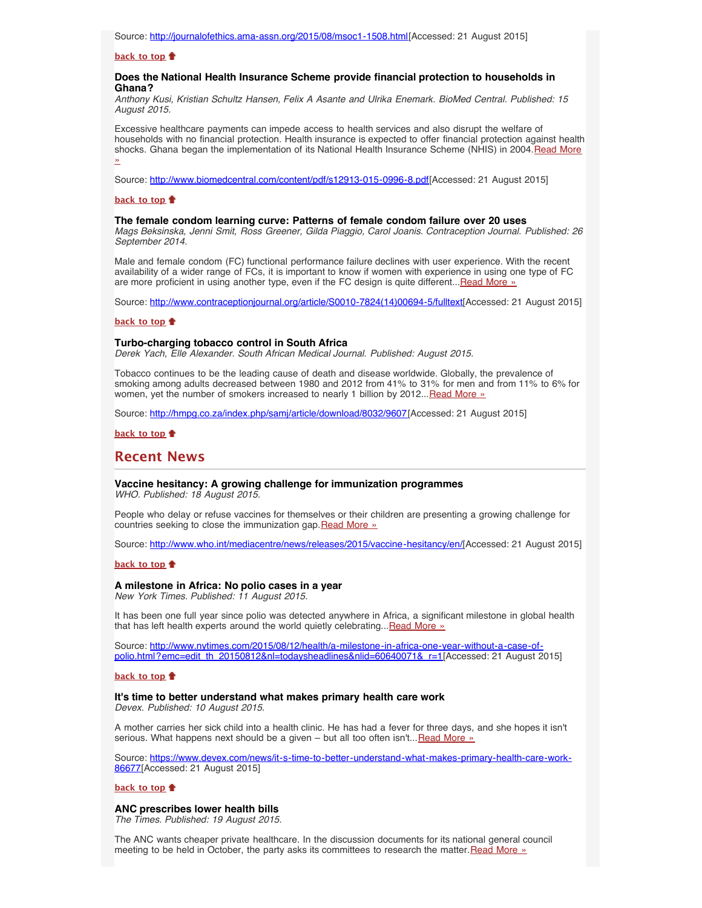#### **[back to top](#page-0-3)**

#### <span id="page-1-0"></span>**Does the National Health Insurance Scheme provide financial protection to households in Ghana?**

*Anthony Kusi, Kristian Schultz Hansen, Felix A Asante and Ulrika Enemark. BioMed Central. Published: 15 August 2015.*

Excessive healthcare payments can impede access to health services and also disrupt the welfare of households with no financial protection. Health insurance is expected to offer financial protection against health shocks. Ghana began the implementation of its National Health Insurance Scheme (NHIS) in 2004. [Read More](http://www.biomedcentral.com/content/pdf/s12913-015-0996-8.pdf) [»](http://www.biomedcentral.com/content/pdf/s12913-015-0996-8.pdf)

Source: [http://www.biomedcentral.com/content/pdf/s12913-015-0996-8.pdf\[](http://www.biomedcentral.com/content/pdf/s12913-015-0996-8.pdf)Accessed: 21 August 2015]

#### **[back to top](#page-0-3)**

#### <span id="page-1-1"></span>**The female condom learning curve: Patterns of female condom failure over 20 uses**

*Mags Beksinska, Jenni Smit, Ross Greener, Gilda Piaggio, Carol Joanis. Contraception Journal. Published: 26 September 2014.*

Male and female condom (FC) functional performance failure declines with user experience. With the recent availability of a wider range of FCs, it is important to know if women with experience in using one type of FC are more proficient in using another type, even if the FC design is quite different...[Read More »](http://www.contraceptionjournal.org/article/S0010-7824(14)00694-5/fulltext)

Source: [http://www.contraceptionjournal.org/article/S0010-7824\(14\)00694-5/fulltext\[](http://www.contraceptionjournal.org/article/S0010-7824(14)00694-5/fulltext)Accessed: 21 August 2015]

#### **[back to top](#page-0-3)**

#### <span id="page-1-2"></span>**Turbo-charging tobacco control in South Africa**

*Derek Yach, Elle Alexander. South African Medical Journal. Published: August 2015.*

Tobacco continues to be the leading cause of death and disease worldwide. Globally, the prevalence of smoking among adults decreased between 1980 and 2012 from 41% to 31% for men and from 11% to 6% for women, vet the number of smokers increased to nearly 1 billion by 2012... [Read More »](http://hmpg.co.za/index.php/samj/article/download/8032/9607)

Source: [http://hmpg.co.za/index.php/samj/article/download/8032/9607\[](http://hmpg.co.za/index.php/samj/article/download/8032/9607)Accessed: 21 August 2015]

#### **[back to top](#page-0-3)**

## <span id="page-1-3"></span>**Recent News**

#### <span id="page-1-4"></span>**Vaccine hesitancy: A growing challenge for immunization programmes** *WHO. Published: 18 August 2015.*

People who delay or refuse vaccines for themselves or their children are presenting a growing challenge for countries seeking to close the immunization gap. [Read More »](http://www.hst.org.za/news/vaccine-hesitancy-growing-challenge-immunization-programmes)

Source: [http://www.who.int/mediacentre/news/releases/2015/vaccine-hesitancy/en/\[](http://www.who.int/mediacentre/news/releases/2015/vaccine-hesitancy/en/)Accessed: 21 August 2015]

#### **[back to top](#page-0-3)**

## <span id="page-1-5"></span>**A milestone in Africa: No polio cases in a year**

*New York Times. Published: 11 August 2015.*

It has been one full year since polio was detected anywhere in Africa, a significant milestone in global health that has left health experts around the world quietly celebrating... Read More »

Source: [http://www.nytimes.com/2015/08/12/health/a-milestone-in-africa-one-year-without-a-case-of](http://www.nytimes.com/2015/08/12/health/a-milestone-in-africa-one-year-without-a-case-of-polio.html?emc=edit_th_20150812&nl=todaysheadlines&nlid=60640071&_r=1)[polio.html?emc=edit\\_th\\_20150812&nl=todaysheadlines&nlid=60640071&\\_r=1\[](http://www.nytimes.com/2015/08/12/health/a-milestone-in-africa-one-year-without-a-case-of-polio.html?emc=edit_th_20150812&nl=todaysheadlines&nlid=60640071&_r=1)Accessed: 21 August 2015]

#### **[back to top](#page-0-3)**

## <span id="page-1-6"></span>**It's time to better understand what makes primary health care work**

*Devex. Published: 10 August 2015.*

A mother carries her sick child into a health clinic. He has had a fever for three days, and she hopes it isn't serious. What happens next should be a given - but all too often isn't... [Read More »](https://www.devex.com/news/it-s-time-to-better-understand-what-makes-primary-health-care-work-86677)

Source: [https://www.devex.com/news/it-s-time-to-better-understand-what-makes-primary-health-care-work-](https://www.devex.com/news/it-s-time-to-better-understand-what-makes-primary-health-care-work-86677)[86677](https://www.devex.com/news/it-s-time-to-better-understand-what-makes-primary-health-care-work-86677)[Accessed: 21 August 2015]

#### **[back to top](#page-0-3)**

### <span id="page-1-7"></span>**ANC prescribes lower health bills**

*The Times. Published: 19 August 2015.*

The ANC wants cheaper private healthcare. In the discussion documents for its national general council meeting to be held in October, the party asks its committees to research the matter. [Read More »](http://www.timeslive.co.za/thetimes/2015/08/19/ANC-prescribes-lower-health-bills)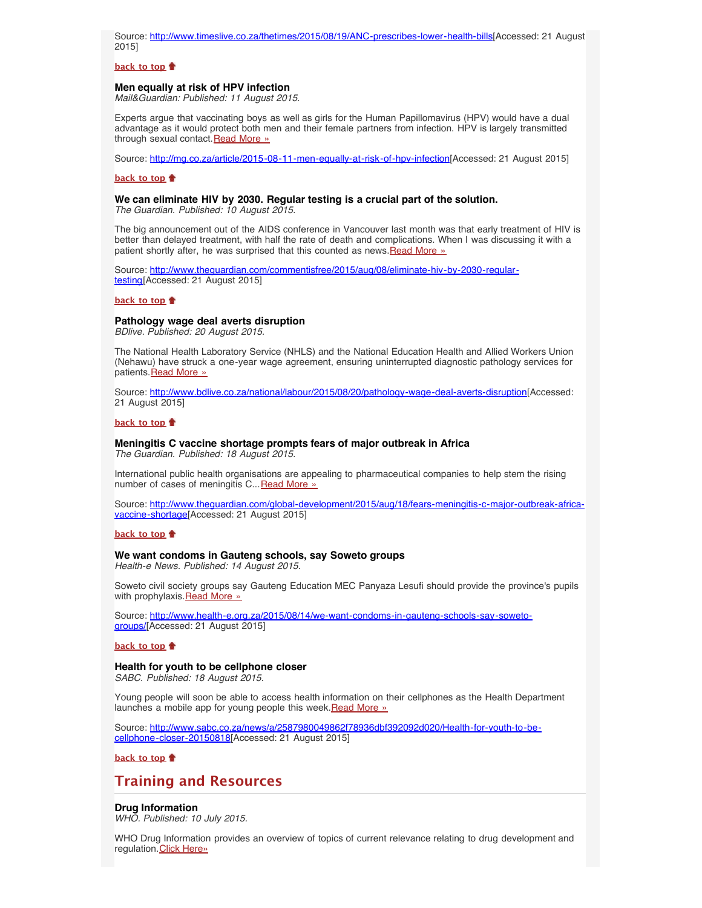Source: <http://www.timeslive.co.za/thetimes/2015/08/19/ANC-prescribes-lower-health-bills>[Accessed: 21 August 2015]

#### **[back to top](#page-0-3)**

#### <span id="page-2-0"></span>**Men equally at risk of HPV infection**

*Mail&Guardian: Published: 11 August 2015.*

Experts argue that vaccinating boys as well as girls for the Human Papillomavirus (HPV) would have a dual advantage as it would protect both men and their female partners from infection. HPV is largely transmitted through sexual contact. [Read More »](http://www.hst.org.za/news/men-equally-risk-hpv-infection)

Source: [http://mg.co.za/article/2015-08-11-men-equally-at-risk-of-hpv-infection\[](http://mg.co.za/article/2015-08-11-men-equally-at-risk-of-hpv-infection)Accessed: 21 August 2015]

#### **[back to top](#page-0-3)**

#### <span id="page-2-1"></span>**We can eliminate HIV by 2030. Regular testing is a crucial part of the solution.**

*The Guardian. Published: 10 August 2015.*

The big announcement out of the AIDS conference in Vancouver last month was that early treatment of HIV is better than delayed treatment, with half the rate of death and complications. When I was discussing it with a patient shortly after, he was surprised that this counted as news. [Read More »](http://www.theguardian.com/commentisfree/2015/aug/08/eliminate-hiv-by-2030-regular-testing)

Source: [http://www.theguardian.com/commentisfree/2015/aug/08/eliminate-hiv-by-2030-regular](http://www.theguardian.com/commentisfree/2015/aug/08/eliminate-hiv-by-2030-regular-testing)[testing\[](http://www.theguardian.com/commentisfree/2015/aug/08/eliminate-hiv-by-2030-regular-testing)Accessed: 21 August 2015]

### **[back to top](#page-0-3)**

## <span id="page-2-2"></span>**Pathology wage deal averts disruption**

*BDlive. Published: 20 August 2015.*

The National Health Laboratory Service (NHLS) and the National Education Health and Allied Workers Union (Nehawu) have struck a one-year wage agreement, ensuring uninterrupted diagnostic pathology services for patients. [Read More »](http://www.hst.org.za/news/pathology-wage-deal-averts-disruption)

Source: <http://www.bdlive.co.za/national/labour/2015/08/20/pathology-wage-deal-averts-disruption>[Accessed: 21 August 2015]

#### **[back to top](#page-0-3)**

# <span id="page-2-3"></span>**Meningitis C vaccine shortage prompts fears of major outbreak in Africa**

*The Guardian. Published: 18 August 2015.*

International public health organisations are appealing to pharmaceutical companies to help stem the rising number of cases of meningitis C... [Read More »](http://www.theguardian.com/global-development/2015/aug/18/fears-meningitis-c-major-outbreak-africa-vaccine-shortage)

Source: [http://www.theguardian.com/global-development/2015/aug/18/fears-meningitis-c-major-outbreak-africa](http://www.theguardian.com/global-development/2015/aug/18/fears-meningitis-c-major-outbreak-africa-vaccine-shortage)[vaccine-shortage\[](http://www.theguardian.com/global-development/2015/aug/18/fears-meningitis-c-major-outbreak-africa-vaccine-shortage)Accessed: 21 August 2015]

#### **[back to top](#page-0-3)**

#### <span id="page-2-4"></span>**We want condoms in Gauteng schools, say Soweto groups**

*Health-e News. Published: 14 August 2015.*

Soweto civil society groups say Gauteng Education MEC Panyaza Lesufi should provide the province's pupils with prophylaxis. [Read More »](http://www.health-e.org.za/2015/08/14/we-want-condoms-in-gauteng-schools-say-soweto-groups/)

Source: [http://www.health-e.org.za/2015/08/14/we-want-condoms-in-gauteng-schools-say-soweto](http://www.health-e.org.za/2015/08/14/we-want-condoms-in-gauteng-schools-say-soweto-groups/)[groups/\[](http://www.health-e.org.za/2015/08/14/we-want-condoms-in-gauteng-schools-say-soweto-groups/)Accessed: 21 August 2015]

#### **[back to top](#page-0-3)**

## <span id="page-2-5"></span>**Health for youth to be cellphone closer**

*SABC. Published: 18 August 2015.*

Young people will soon be able to access health information on their cellphones as the Health Department launches a mobile app for young people this week. [Read More »](http://www.sabc.co.za/news/a/2587980049862f78936dbf392092d020/Health-for-youth-to-be-cellphone-closer-20150818)

Source: [http://www.sabc.co.za/news/a/2587980049862f78936dbf392092d020/Health-for-youth-to-be](http://www.sabc.co.za/news/a/2587980049862f78936dbf392092d020/Health-for-youth-to-be-cellphone-closer-20150818)[cellphone-closer-20150818](http://www.sabc.co.za/news/a/2587980049862f78936dbf392092d020/Health-for-youth-to-be-cellphone-closer-20150818)[Accessed: 21 August 2015]

**[back to top](#page-0-3)**

# <span id="page-2-6"></span>**Training and Resources**

### <span id="page-2-7"></span>**Drug Information**

*WHO. Published: 10 July 2015.*

WHO Drug Information provides an overview of topics of current relevance relating to drug development and regulation. [Click Here»](http://www.who.int/medicines/publications/druginformation/issues/DrugInformation2015_Vol29_2/en/)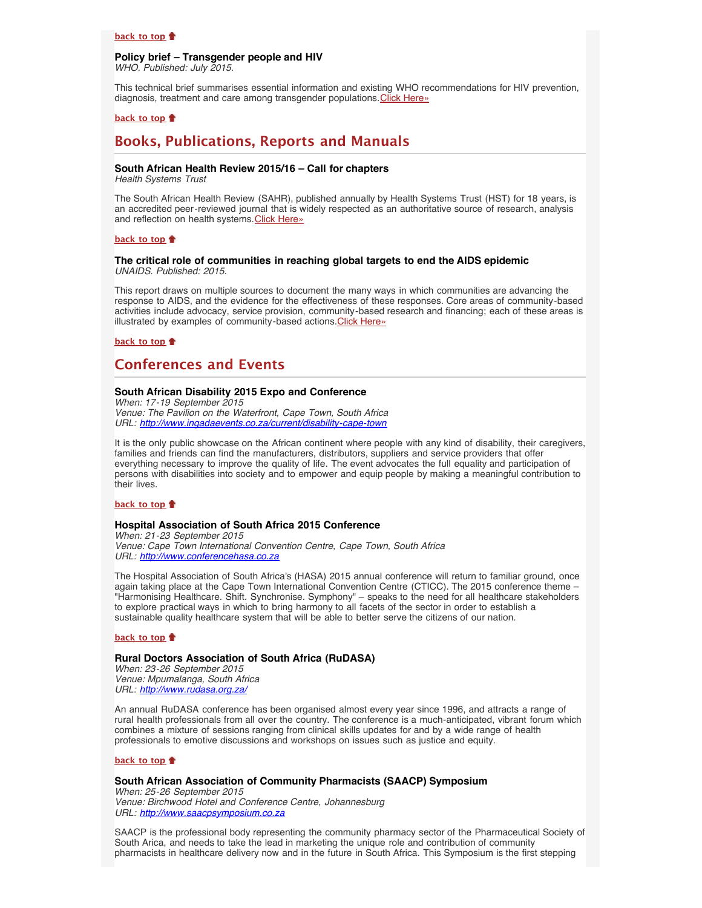#### **[back to top](#page-0-3)**

### <span id="page-3-0"></span>**Policy brief – Transgender people and HIV** *WHO. Published: July 2015.*

This technical brief summarises essential information and existing WHO recommendations for HIV prevention, diagnosis, treatment and care among transgender populations. [Click Here»](http://apps.who.int/iris/bitstream/10665/179517/1/WHO_HIV_2015.17_eng.pdf?ua=1)

### **[back to top](#page-0-3)**

# <span id="page-3-1"></span>**Books, Publications, Reports and Manuals**

## <span id="page-3-2"></span>**South African Health Review 2015/16 – Call for chapters**

*Health Systems Trust*

The South African Health Review (SAHR), published annually by Health Systems Trust (HST) for 18 years, is an accredited peer-reviewed journal that is widely respected as an authoritative source of research, analysis and reflection on health systems. [Click Here»](http://www.hst.org.za/news/south-african-health-review-201516-call-chapters)

#### **[back to top](#page-0-3)**

#### <span id="page-3-3"></span>**The critical role of communities in reaching global targets to end the AIDS epidemic** *UNAIDS. Published: 2015.*

This report draws on multiple sources to document the many ways in which communities are advancing the response to AIDS, and the evidence for the effectiveness of these responses. Core areas of community-based activities include advocacy, service provision, community-based research and financing; each of these areas is illustrated by examples of community-based actions. Click Here»

**[back to top](#page-0-3)**

# <span id="page-3-4"></span>**Conferences and Events**

## <span id="page-3-5"></span>**South African Disability 2015 Expo and Conference**

*When: 17-19 September 2015 Venue: The Pavilion on the Waterfront, Cape Town, South Africa URL: <http://www.ingadaevents.co.za/current/disability-cape-town>*

It is the only public showcase on the African continent where people with any kind of disability, their caregivers, families and friends can find the manufacturers, distributors, suppliers and service providers that offer everything necessary to improve the quality of life. The event advocates the full equality and participation of persons with disabilities into society and to empower and equip people by making a meaningful contribution to their lives.

## **[back to top](#page-0-3)**

#### <span id="page-3-6"></span>**Hospital Association of South Africa 2015 Conference**

*When: 21-23 September 2015 Venue: Cape Town International Convention Centre, Cape Town, South Africa URL: [http://www.conferencehasa.co.za](http://www.conferencehasa.co.za/)*

The Hospital Association of South Africa's (HASA) 2015 annual conference will return to familiar ground, once again taking place at the Cape Town International Convention Centre (CTICC). The 2015 conference theme – "Harmonising Healthcare. Shift. Synchronise. Symphony" – speaks to the need for all healthcare stakeholders to explore practical ways in which to bring harmony to all facets of the sector in order to establish a sustainable quality healthcare system that will be able to better serve the citizens of our nation.

#### **[back to top](#page-0-3)**

#### <span id="page-3-7"></span>**Rural Doctors Association of South Africa (RuDASA)**

*When: 23-26 September 2015 Venue: Mpumalanga, South Africa URL: <http://www.rudasa.org.za/>*

An annual RuDASA conference has been organised almost every year since 1996, and attracts a range of rural health professionals from all over the country. The conference is a much-anticipated, vibrant forum which combines a mixture of sessions ranging from clinical skills updates for and by a wide range of health professionals to emotive discussions and workshops on issues such as justice and equity.

#### **[back to top](#page-0-3)**

## <span id="page-3-8"></span>**South African Association of Community Pharmacists (SAACP) Symposium**

*When: 25-26 September 2015 Venue: Birchwood Hotel and Conference Centre, Johannesburg URL: [http://www.saacpsymposium.co.za](http://www.saacpsymposium.co.za/)*

SAACP is the professional body representing the community pharmacy sector of the Pharmaceutical Society of South Arica, and needs to take the lead in marketing the unique role and contribution of community pharmacists in healthcare delivery now and in the future in South Africa. This Symposium is the first stepping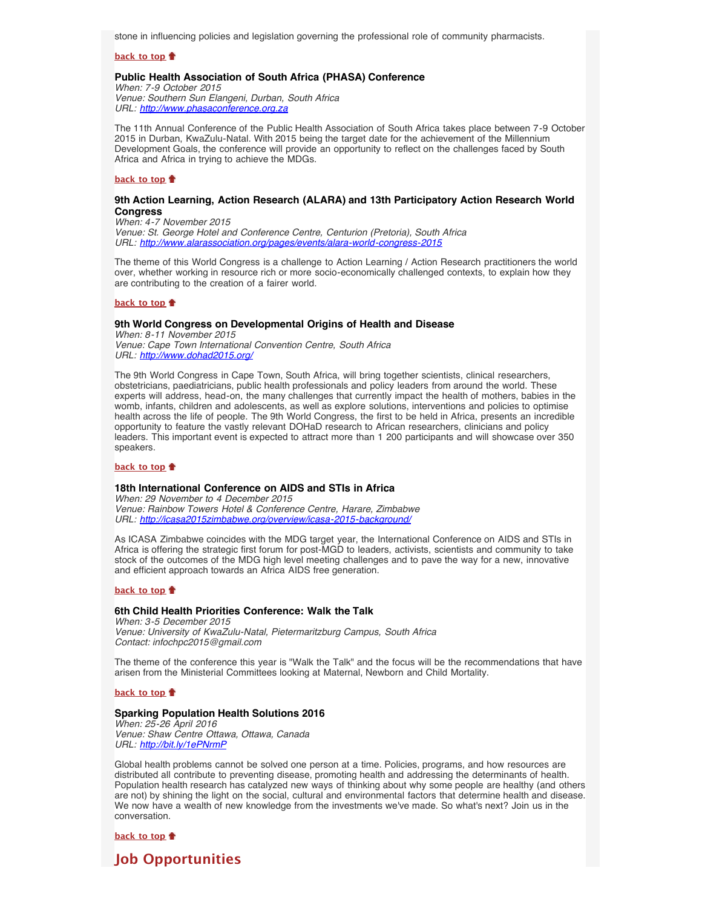stone in influencing policies and legislation governing the professional role of community pharmacists.

**[back to top](#page-0-3)**

#### <span id="page-4-0"></span>**Public Health Association of South Africa (PHASA) Conference**

*When: 7-9 October 2015 Venue: Southern Sun Elangeni, Durban, South Africa URL: [http://www.phasaconference.org.za](http://www.phasaconference.org.za/)*

The 11th Annual Conference of the Public Health Association of South Africa takes place between 7-9 October 2015 in Durban, KwaZulu-Natal. With 2015 being the target date for the achievement of the Millennium Development Goals, the conference will provide an opportunity to reflect on the challenges faced by South Africa and Africa in trying to achieve the MDGs.

#### **[back to top](#page-0-3)**

## <span id="page-4-1"></span>**9th Action Learning, Action Research (ALARA) and 13th Participatory Action Research World Congress**

*When: 4-7 November 2015 Venue: St. George Hotel and Conference Centre, Centurion (Pretoria), South Africa URL: <http://www.alarassociation.org/pages/events/alara-world-congress-2015>*

The theme of this World Congress is a challenge to Action Learning / Action Research practitioners the world over, whether working in resource rich or more socio-economically challenged contexts, to explain how they are contributing to the creation of a fairer world.

#### **[back to top](#page-0-3)**

#### <span id="page-4-2"></span>**9th World Congress on Developmental Origins of Health and Disease**

*When: 8-11 November 2015 Venue: Cape Town International Convention Centre, South Africa URL: <http://www.dohad2015.org/>*

The 9th World Congress in Cape Town, South Africa, will bring together scientists, clinical researchers, obstetricians, paediatricians, public health professionals and policy leaders from around the world. These experts will address, head-on, the many challenges that currently impact the health of mothers, babies in the womb, infants, children and adolescents, as well as explore solutions, interventions and policies to optimise health across the life of people. The 9th World Congress, the first to be held in Africa, presents an incredible opportunity to feature the vastly relevant DOHaD research to African researchers, clinicians and policy leaders. This important event is expected to attract more than 1 200 participants and will showcase over 350 speakers.

#### **[back to top](#page-0-3)**

#### <span id="page-4-3"></span>**18th International Conference on AIDS and STIs in Africa**

*When: 29 November to 4 December 2015 Venue: Rainbow Towers Hotel & Conference Centre, Harare, Zimbabwe URL: <http://icasa2015zimbabwe.org/overview/icasa-2015-background/>*

As ICASA Zimbabwe coincides with the MDG target year, the International Conference on AIDS and STIs in Africa is offering the strategic first forum for post-MGD to leaders, activists, scientists and community to take stock of the outcomes of the MDG high level meeting challenges and to pave the way for a new, innovative and efficient approach towards an Africa AIDS free generation.

#### **[back to top](#page-0-3)**

## <span id="page-4-4"></span>**6th Child Health Priorities Conference: Walk the Talk**

*When: 3-5 December 2015 Venue: University of KwaZulu-Natal, Pietermaritzburg Campus, South Africa Contact: infochpc2015@gmail.com*

The theme of the conference this year is "Walk the Talk" and the focus will be the recommendations that have arisen from the Ministerial Committees looking at Maternal, Newborn and Child Mortality.

#### **[back to top](#page-0-3)**

#### <span id="page-4-5"></span>**Sparking Population Health Solutions 2016**

*When: 25-26 April 2016 Venue: Shaw Centre Ottawa, Ottawa, Canada URL: <http://bit.ly/1ePNrmP>*

Global health problems cannot be solved one person at a time. Policies, programs, and how resources are distributed all contribute to preventing disease, promoting health and addressing the determinants of health. Population health research has catalyzed new ways of thinking about why some people are healthy (and others are not) by shining the light on the social, cultural and environmental factors that determine health and disease. We now have a wealth of new knowledge from the investments we've made. So what's next? Join us in the conversation.

**[back to top](#page-0-3)**

<span id="page-4-6"></span>**Job Opportunities**